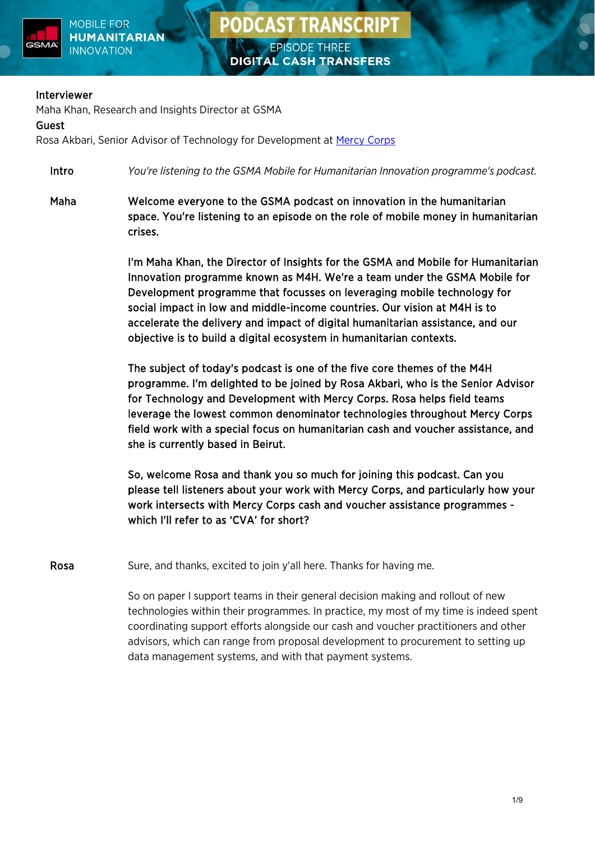

#### Interviewer

Maha Khan, Research and Insights Director at GSMA

#### Guest

Rosa Akbari, Senior Advisor of Technology for Development at [Mercy](https://www.mercycorps.org.uk/) Corps

Intro *You're listening to the GSMA Mobile for Humanitarian Innovation programme's podcast.*

Maha Welcome everyone to the GSMA podcast on innovation in the humanitarian space. You're listening to an episode on the role of mobile money in humanitarian crises.

> I'm Maha Khan, the Director of Insights for the GSMA and Mobile for Humanitarian Innovation programme known as M4H. We're a team under the GSMA Mobile for Development programme that focusses on leveraging mobile technology for social impact in low and middle-income countries. Our vision at M4H is to accelerate the delivery and impact of digital humanitarian assistance, and our objective is to build a digital ecosystem in humanitarian contexts.

> The subject of today's podcast is one of the five core themes of the M4H programme. I'm delighted to be joined by Rosa Akbari, who is the Senior Advisor for Technology and Development with Mercy Corps. Rosa helps field teams leverage the lowest common denominator technologies throughout Mercy Corps field work with a special focus on humanitarian cash and voucher assistance, and she is currently based in Beirut.

> So, welcome Rosa and thank you so much for joining this podcast. Can you please tell listeners about your work with Mercy Corps, and particularly how your work intersects with Mercy Corps cash and voucher assistance programmes which I'll refer to as 'CVA' for short?

Rosa Sure, and thanks, excited to join y'all here. Thanks for having me.

So on paper I support teams in their general decision making and rollout of new technologies within their programmes. In practice, my most of my time is indeed spent coordinating support efforts alongside our cash and voucher practitioners and other advisors, which can range from proposal development to procurement to setting up data management systems, and with that payment systems.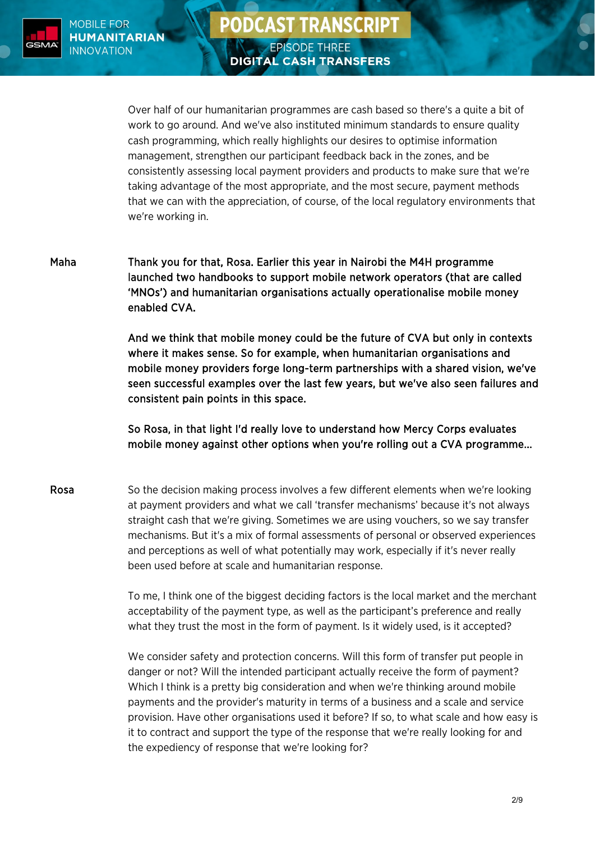

# **PODCAST TRANSCRIPT EPISODE THREE**

**DIGITAL CASH TRANSFERS** 

Over half of our humanitarian programmes are cash based so there's a quite a bit of work to go around. And we've also instituted minimum standards to ensure quality cash programming, which really highlights our desires to optimise information management, strengthen our participant feedback back in the zones, and be consistently assessing local payment providers and products to make sure that we're taking advantage of the most appropriate, and the most secure, payment methods that we can with the appreciation, of course, of the local regulatory environments that we're working in.

Maha Thank you for that, Rosa. Earlier this year in Nairobi the M4H programme launched two handbooks to support mobile network operators (that are called 'MNOs') and humanitarian organisations actually operationalise mobile money enabled CVA.

> And we think that mobile money could be the future of CVA but only in contexts where it makes sense. So for example, when humanitarian organisations and mobile money providers forge long-term partnerships with a shared vision, we've seen successful examples over the last few years, but we've also seen failures and consistent pain points in this space.

So Rosa, in that light I'd really love to understand how Mercy Corps evaluates mobile money against other options when you're rolling out a CVA programme...

Rosa So the decision making process involves a few different elements when we're looking at payment providers and what we call 'transfer mechanisms' because it's not always straight cash that we're giving. Sometimes we are using vouchers, so we say transfer mechanisms. But it's a mix of formal assessments of personal or observed experiences and perceptions as well of what potentially may work, especially if it's never really been used before at scale and humanitarian response.

> To me, I think one of the biggest deciding factors is the local market and the merchant acceptability of the payment type, as well as the participant's preference and really what they trust the most in the form of payment. Is it widely used, is it accepted?

> We consider safety and protection concerns. Will this form of transfer put people in danger or not? Will the intended participant actually receive the form of payment? Which I think is a pretty big consideration and when we're thinking around mobile payments and the provider's maturity in terms of a business and a scale and service provision. Have other organisations used it before? If so, to what scale and how easy is it to contract and support the type of the response that we're really looking for and the expediency of response that we're looking for?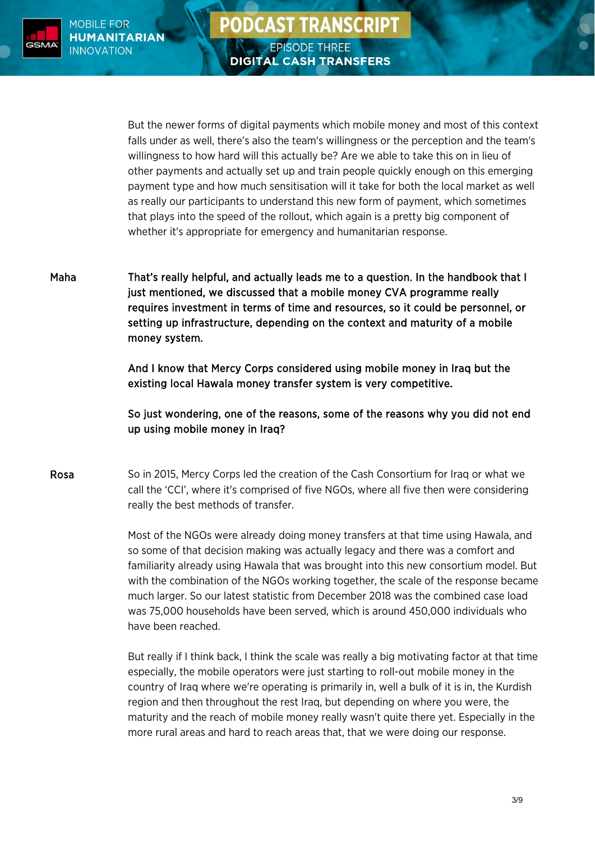

But the newer forms of digital payments which mobile money and most of this context falls under as well, there's also the team's willingness or the perception and the team's willingness to how hard will this actually be? Are we able to take this on in lieu of other payments and actually set up and train people quickly enough on this emerging payment type and how much sensitisation will it take for both the local market as well as really our participants to understand this new form of payment, which sometimes that plays into the speed of the rollout, which again is a pretty big component of whether it's appropriate for emergency and humanitarian response.

**PODCAST TRANSCRIPT** 

**EPISODE THREE** 

**DIGITAL CASH TRANSFERS** 

Maha That's really helpful, and actually leads me to a question. In the handbook that I just mentioned, we discussed that a mobile money CVA programme really requires investment in terms of time and resources, so it could be personnel, or setting up infrastructure, depending on the context and maturity of a mobile money system.

> And I know that Mercy Corps considered using mobile money in Iraq but the existing local Hawala money transfer system is very competitive.

So just wondering, one of the reasons, some of the reasons why you did not end up using mobile money in Iraq?

Rosa So in 2015, Mercy Corps led the creation of the Cash Consortium for Iraq or what we call the 'CCI', where it's comprised of five NGOs, where all five then were considering really the best methods of transfer.

> Most of the NGOs were already doing money transfers at that time using Hawala, and so some of that decision making was actually legacy and there was a comfort and familiarity already using Hawala that was brought into this new consortium model. But with the combination of the NGOs working together, the scale of the response became much larger. So our latest statistic from December 2018 was the combined case load was 75,000 households have been served, which is around 450,000 individuals who have been reached.

> But really if I think back, I think the scale was really a big motivating factor at that time especially, the mobile operators were just starting to roll-out mobile money in the country of Iraq where we're operating is primarily in, well a bulk of it is in, the Kurdish region and then throughout the rest Iraq, but depending on where you were, the maturity and the reach of mobile money really wasn't quite there yet. Especially in the more rural areas and hard to reach areas that, that we were doing our response.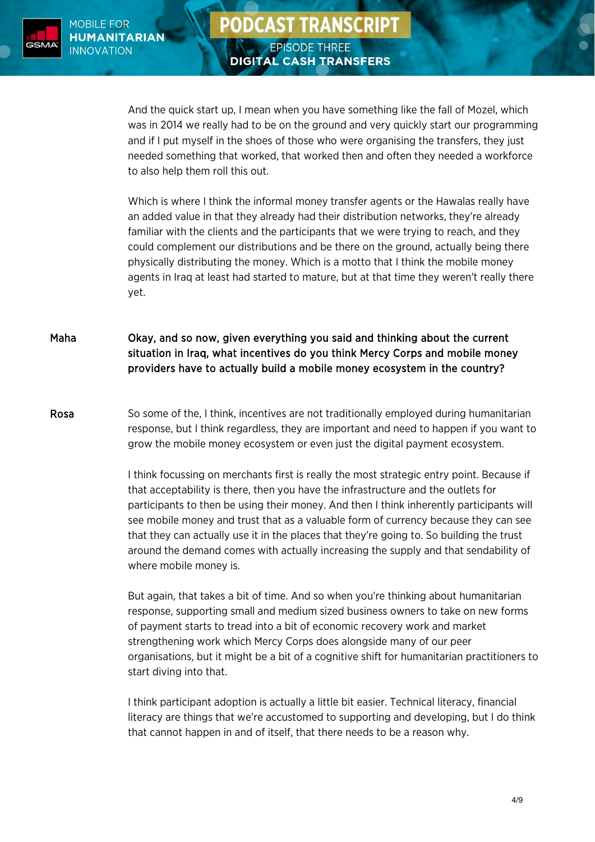

And the quick start up, I mean when you have something like the fall of Mozel, which was in 2014 we really had to be on the ground and very quickly start our programming and if I put myself in the shoes of those who were organising the transfers, they just needed something that worked, that worked then and often they needed a workforce to also help them roll this out.

Which is where I think the informal money transfer agents or the Hawalas really have an added value in that they already had their distribution networks, they're already familiar with the clients and the participants that we were trying to reach, and they could complement our distributions and be there on the ground, actually being there physically distributing the money. Which is a motto that I think the mobile money agents in Iraq at least had started to mature, but at that time they weren't really there yet.

Maha Okay, and so now, given everything you said and thinking about the current situation in Iraq, what incentives do you think Mercy Corps and mobile money providers have to actually build a mobile money ecosystem in the country?

Rosa So some of the, I think, incentives are not traditionally employed during humanitarian response, but I think regardless, they are important and need to happen if you want to grow the mobile money ecosystem or even just the digital payment ecosystem.

> I think focussing on merchants first is really the most strategic entry point. Because if that acceptability is there, then you have the infrastructure and the outlets for participants to then be using their money. And then I think inherently participants will see mobile money and trust that as a valuable form of currency because they can see that they can actually use it in the places that they're going to. So building the trust around the demand comes with actually increasing the supply and that sendability of where mobile money is.

But again, that takes a bit of time. And so when you're thinking about humanitarian response, supporting small and medium sized business owners to take on new forms of payment starts to tread into a bit of economic recovery work and market strengthening work which Mercy Corps does alongside many of our peer organisations, but it might be a bit of a cognitive shift for humanitarian practitioners to start diving into that.

I think participant adoption is actually a little bit easier. Technical literacy, financial literacy are things that we're accustomed to supporting and developing, but I do think that cannot happen in and of itself, that there needs to be a reason why.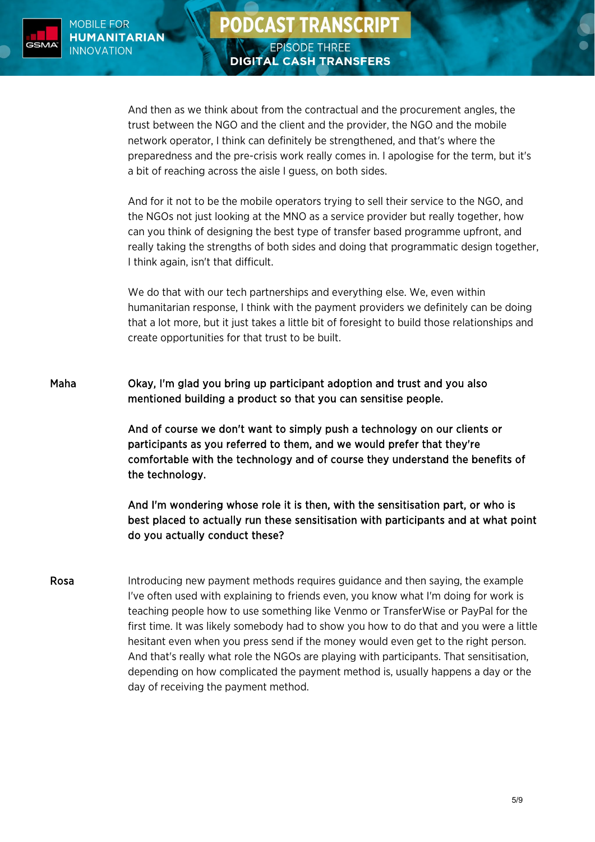

And then as we think about from the contractual and the procurement angles, the trust between the NGO and the client and the provider, the NGO and the mobile network operator, I think can definitely be strengthened, and that's where the preparedness and the pre-crisis work really comes in. I apologise for the term, but it's a bit of reaching across the aisle I guess, on both sides.

**PODCAST TRANSCRIPT** 

**EPISODE THREE** 

**DIGITAL CASH TRANSFERS** 

And for it not to be the mobile operators trying to sell their service to the NGO, and the NGOs not just looking at the MNO as a service provider but really together, how can you think of designing the best type of transfer based programme upfront, and really taking the strengths of both sides and doing that programmatic design together, I think again, isn't that difficult.

We do that with our tech partnerships and everything else. We, even within humanitarian response, I think with the payment providers we definitely can be doing that a lot more, but it just takes a little bit of foresight to build those relationships and create opportunities for that trust to be built.

Maha Okay, I'm glad you bring up participant adoption and trust and you also mentioned building a product so that you can sensitise people.

> And of course we don't want to simply push a technology on our clients or participants as you referred to them, and we would prefer that they're comfortable with the technology and of course they understand the benefits of the technology.

And I'm wondering whose role it is then, with the sensitisation part, or who is best placed to actually run these sensitisation with participants and at what point do you actually conduct these?

Rosa Introducing new payment methods requires guidance and then saying, the example I've often used with explaining to friends even, you know what I'm doing for work is teaching people how to use something like Venmo or TransferWise or PayPal for the first time. It was likely somebody had to show you how to do that and you were a little hesitant even when you press send if the money would even get to the right person. And that's really what role the NGOs are playing with participants. That sensitisation, depending on how complicated the payment method is, usually happens a day or the day of receiving the payment method.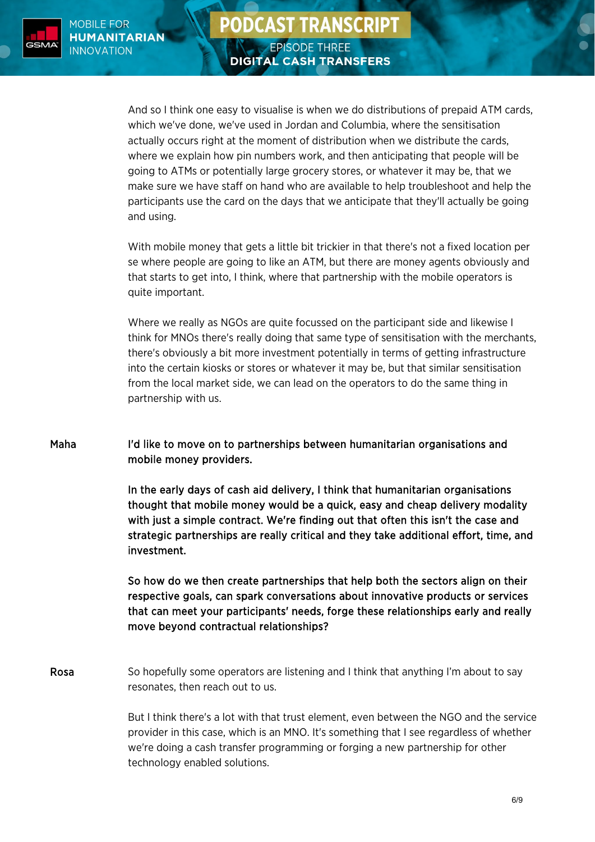

### **PODCAST TRANSCRIPT EPISODE THREE DIGITAL CASH TRANSFERS**

And so I think one easy to visualise is when we do distributions of prepaid ATM cards, which we've done, we've used in Jordan and Columbia, where the sensitisation actually occurs right at the moment of distribution when we distribute the cards, where we explain how pin numbers work, and then anticipating that people will be going to ATMs or potentially large grocery stores, or whatever it may be, that we make sure we have staff on hand who are available to help troubleshoot and help the participants use the card on the days that we anticipate that they'll actually be going and using.

With mobile money that gets a little bit trickier in that there's not a fixed location per se where people are going to like an ATM, but there are money agents obviously and that starts to get into, I think, where that partnership with the mobile operators is quite important.

Where we really as NGOs are quite focussed on the participant side and likewise I think for MNOs there's really doing that same type of sensitisation with the merchants, there's obviously a bit more investment potentially in terms of getting infrastructure into the certain kiosks or stores or whatever it may be, but that similar sensitisation from the local market side, we can lead on the operators to do the same thing in partnership with us.

Maha I'd like to move on to partnerships between humanitarian organisations and mobile money providers.

> In the early days of cash aid delivery, I think that humanitarian organisations thought that mobile money would be a quick, easy and cheap delivery modality with just a simple contract. We're finding out that often this isn't the case and strategic partnerships are really critical and they take additional effort, time, and investment.

> So how do we then create partnerships that help both the sectors align on their respective goals, can spark conversations about innovative products or services that can meet your participants' needs, forge these relationships early and really move beyond contractual relationships?

Rosa So hopefully some operators are listening and I think that anything I'm about to say resonates, then reach out to us.

> But I think there's a lot with that trust element, even between the NGO and the service provider in this case, which is an MNO. It's something that I see regardless of whether we're doing a cash transfer programming or forging a new partnership for other technology enabled solutions.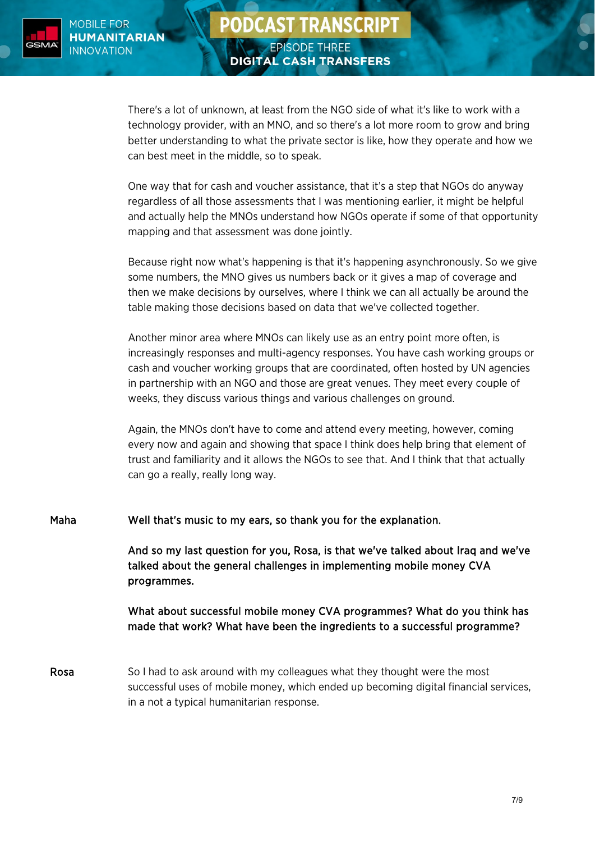

## **PODCAST TRANSCRIPT EPISODE THREE DIGITAL CASH TRANSFERS**

There's a lot of unknown, at least from the NGO side of what it's like to work with a technology provider, with an MNO, and so there's a lot more room to grow and bring better understanding to what the private sector is like, how they operate and how we can best meet in the middle, so to speak.

One way that for cash and voucher assistance, that it's a step that NGOs do anyway regardless of all those assessments that I was mentioning earlier, it might be helpful and actually help the MNOs understand how NGOs operate if some of that opportunity mapping and that assessment was done jointly.

Because right now what's happening is that it's happening asynchronously. So we give some numbers, the MNO gives us numbers back or it gives a map of coverage and then we make decisions by ourselves, where I think we can all actually be around the table making those decisions based on data that we've collected together.

Another minor area where MNOs can likely use as an entry point more often, is increasingly responses and multi-agency responses. You have cash working groups or cash and voucher working groups that are coordinated, often hosted by UN agencies in partnership with an NGO and those are great venues. They meet every couple of weeks, they discuss various things and various challenges on ground.

Again, the MNOs don't have to come and attend every meeting, however, coming every now and again and showing that space I think does help bring that element of trust and familiarity and it allows the NGOs to see that. And I think that that actually can go a really, really long way.

Maha Well that's music to my ears, so thank you for the explanation.

And so my last question for you, Rosa, is that we've talked about Iraq and we've talked about the general challenges in implementing mobile money CVA programmes.

### What about successful mobile money CVA programmes? What do you think has made that work? What have been the ingredients to a successful programme?

Rosa So I had to ask around with my colleagues what they thought were the most successful uses of mobile money, which ended up becoming digital financial services, in a not a typical humanitarian response.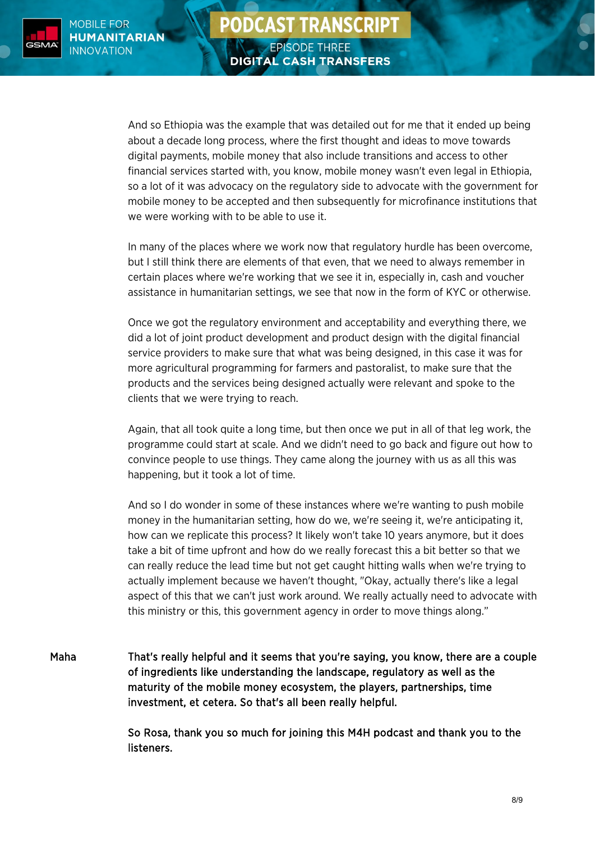

And so Ethiopia was the example that was detailed out for me that it ended up being about a decade long process, where the first thought and ideas to move towards digital payments, mobile money that also include transitions and access to other financial services started with, you know, mobile money wasn't even legal in Ethiopia, so a lot of it was advocacy on the regulatory side to advocate with the government for mobile money to be accepted and then subsequently for microfinance institutions that we were working with to be able to use it.

**PODCAST TRANSCRIPT** 

**EPISODE THREE** 

**DIGITAL CASH TRANSFERS** 

In many of the places where we work now that regulatory hurdle has been overcome, but I still think there are elements of that even, that we need to always remember in certain places where we're working that we see it in, especially in, cash and voucher assistance in humanitarian settings, we see that now in the form of KYC or otherwise.

Once we got the regulatory environment and acceptability and everything there, we did a lot of joint product development and product design with the digital financial service providers to make sure that what was being designed, in this case it was for more agricultural programming for farmers and pastoralist, to make sure that the products and the services being designed actually were relevant and spoke to the clients that we were trying to reach.

Again, that all took quite a long time, but then once we put in all of that leg work, the programme could start at scale. And we didn't need to go back and figure out how to convince people to use things. They came along the journey with us as all this was happening, but it took a lot of time.

And so I do wonder in some of these instances where we're wanting to push mobile money in the humanitarian setting, how do we, we're seeing it, we're anticipating it, how can we replicate this process? It likely won't take 10 years anymore, but it does take a bit of time upfront and how do we really forecast this a bit better so that we can really reduce the lead time but not get caught hitting walls when we're trying to actually implement because we haven't thought, "Okay, actually there's like a legal aspect of this that we can't just work around. We really actually need to advocate with this ministry or this, this government agency in order to move things along."

Maha That's really helpful and it seems that you're saying, you know, there are a couple of ingredients like understanding the landscape, regulatory as well as the maturity of the mobile money ecosystem, the players, partnerships, time investment, et cetera. So that's all been really helpful.

> So Rosa, thank you so much for joining this M4H podcast and thank you to the listeners.